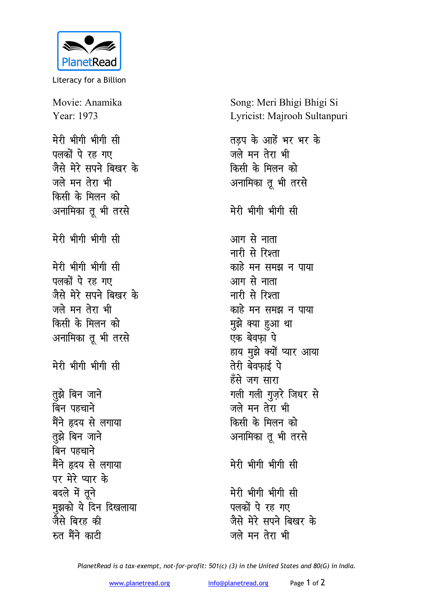

Literacy for a Billion

Movie: Anamika Year: 1973 मेरी भीगी भीगी सी पलकों पे रह गए जैसे मेरे सपने बिखर के जले मन तेरा भी किसी के मिलन को अनामिका तू भी तरसे मेरी भीगी भीगी सी मेरी भीगी भीगी सी पलकों पे रह गए जैसे मेरे सपने बिखर के जले मन तेरा भी किसी के मिलन को अनामिका तू भी तरसे मेरी भीगी भीगी सी तुझे बिन जाने बिन पहचाने मैंने हृदय से लगाया तुझे बिन जाने बिन पहचाने मैंने हृदय से लगाया पर मेरे प्यार के बदले में तूने मुझको ये दिन दिखलाया जैसे बिरह की रुत मैंने काटी

Song: Meri Bhigi Bhigi Si Lyricist: Majrooh Sultanpuri

तड़प के आहें भर भर के जले मन तेरा भी किसी के मिलन को अनामिका तू भी तरसे मेरी भीगी भीगी सी आग से नाता नारी से रिश्ता काहे मन समझ न पाया आग से नाता नारी से रिश्ता काहे मन समझ न पाया मुझे क्या हुआ था एक बेवफ़ा पे हाय मुझे क्यों प्यार आया तेरी बेवफाई पे हँसे जग सारा गली गली गुज़रे जिधर से जले मन तेरा भी किसी के मिलन को अनामिका तू भी तरसे मेरी भीगी भीगी सी मेरी भीगी भीगी सी पलकों पे रह गए जैसे मेरे सपने बिखर के जले मन तेरा भी

PlanetRead is a tax-exempt, not-for-profit: 501(c) (3) in the United States and 80(G) in India.